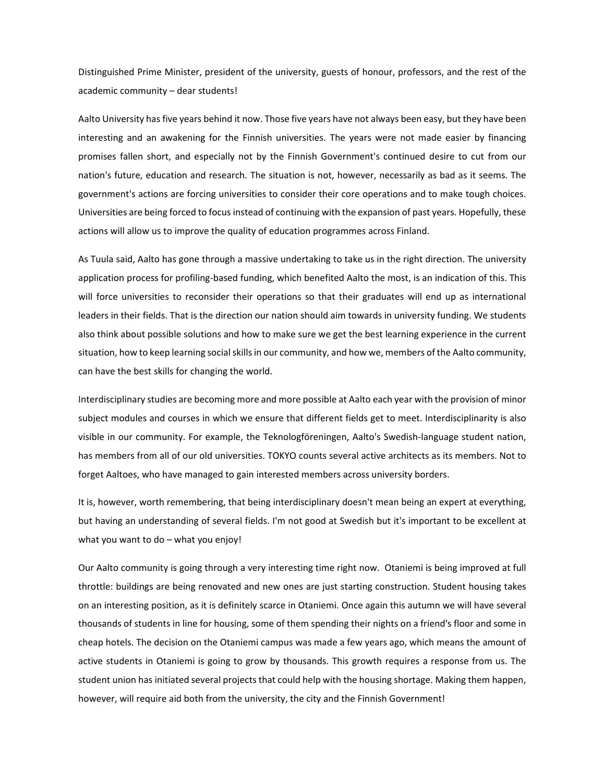Distinguished Prime Minister, president of the university, guests of honour, professors, and the rest of the academic community – dear students!

Aalto University has five years behind it now. Those five years have not always been easy, but they have been interesting and an awakening for the Finnish universities. The years were not made easier by financing promises fallen short, and especially not by the Finnish Government's continued desire to cut from our nation's future, education and research. The situation is not, however, necessarily as bad as it seems. The government's actions are forcing universities to consider their core operations and to make tough choices. Universities are being forced to focus instead of continuing with the expansion of past years. Hopefully, these actions will allow us to improve the quality of education programmes across Finland.

As Tuula said, Aalto has gone through a massive undertaking to take us in the right direction. The university application process for profiling‐based funding, which benefited Aalto the most, is an indication of this. This will force universities to reconsider their operations so that their graduates will end up as international leaders in their fields. That is the direction our nation should aim towards in university funding. We students also think about possible solutions and how to make sure we get the best learning experience in the current situation, how to keep learning social skills in our community, and how we, members of the Aalto community, can have the best skills for changing the world.

Interdisciplinary studies are becoming more and more possible at Aalto each year with the provision of minor subject modules and courses in which we ensure that different fields get to meet. Interdisciplinarity is also visible in our community. For example, the Teknologföreningen, Aalto's Swedish‐language student nation, has members from all of our old universities. TOKYO counts several active architects as its members. Not to forget Aaltoes, who have managed to gain interested members across university borders.

It is, however, worth remembering, that being interdisciplinary doesn't mean being an expert at everything, but having an understanding of several fields. I'm not good at Swedish but it's important to be excellent at what you want to do – what you enjoy!

Our Aalto community is going through a very interesting time right now. Otaniemi is being improved at full throttle: buildings are being renovated and new ones are just starting construction. Student housing takes on an interesting position, as it is definitely scarce in Otaniemi. Once again this autumn we will have several thousands of students in line for housing, some of them spending their nights on a friend's floor and some in cheap hotels. The decision on the Otaniemi campus was made a few years ago, which means the amount of active students in Otaniemi is going to grow by thousands. This growth requires a response from us. The student union has initiated several projects that could help with the housing shortage. Making them happen, however, will require aid both from the university, the city and the Finnish Government!